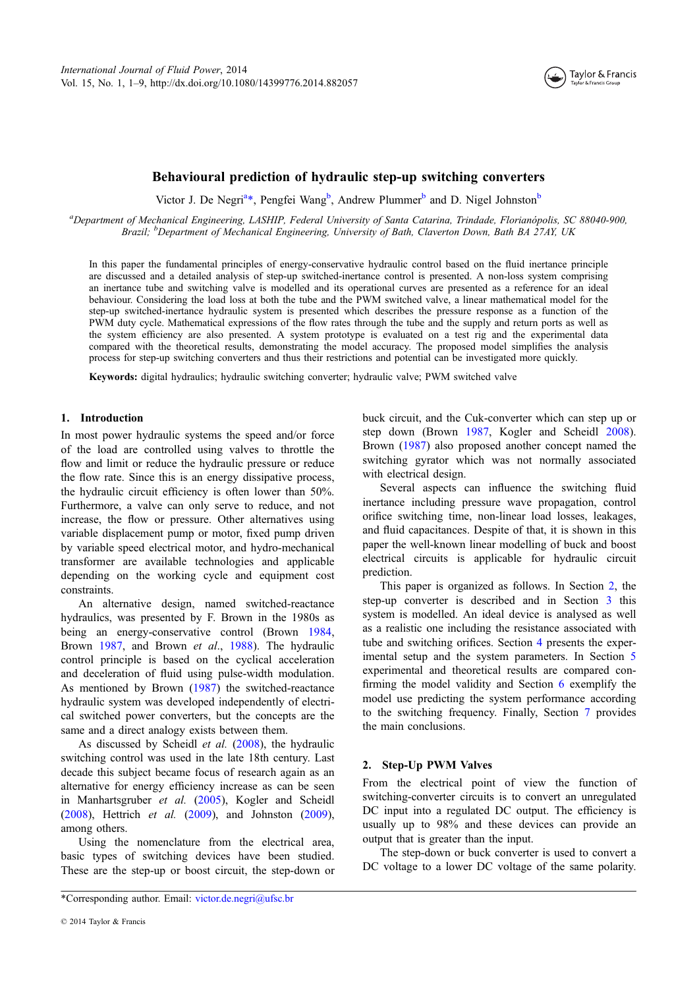

# Behavioural prediction of hydraulic step-up switching converters

Victor J. De Negri<sup>a\*</sup>, Pengfei Wang<sup>b</sup>, Andrew Plummer<sup>b</sup> and D. Nigel Johnston<sup>b</sup>

a Department of Mechanical Engineering, LASHIP, Federal University of Santa Catarina, Trindade, Florianópolis, SC 88040-900, Brazil; <sup>b</sup>Department of Mechanical Engineering, University of Bath, Claverton Down, Bath BA 27AY, UK

In this paper the fundamental principles of energy-conservative hydraulic control based on the fluid inertance principle are discussed and a detailed analysis of step-up switched-inertance control is presented. A non-loss system comprising an inertance tube and switching valve is modelled and its operational curves are presented as a reference for an ideal behaviour. Considering the load loss at both the tube and the PWM switched valve, a linear mathematical model for the step-up switched-inertance hydraulic system is presented which describes the pressure response as a function of the PWM duty cycle. Mathematical expressions of the flow rates through the tube and the supply and return ports as well as the system efficiency are also presented. A system prototype is evaluated on a test rig and the experimental data compared with the theoretical results, demonstrating the model accuracy. The proposed model simplifies the analysis process for step-up switching converters and thus their restrictions and potential can be investigated more quickly.

Keywords: digital hydraulics; hydraulic switching converter; hydraulic valve; PWM switched valve

## 1. Introduction

In most power hydraulic systems the speed and/or force of the load are controlled using valves to throttle the flow and limit or reduce the hydraulic pressure or reduce the flow rate. Since this is an energy dissipative process, the hydraulic circuit efficiency is often lower than 50%. Furthermore, a valve can only serve to reduce, and not increase, the flow or pressure. Other alternatives using variable displacement pump or motor, fixed pump driven by variable speed electrical motor, and hydro-mechanical transformer are available technologies and applicable depending on the working cycle and equipment cost constraints.

An alternative design, named switched-reactance hydraulics, was presented by F. Brown in the 1980s as being an energy-conservative control (Brown [1984,](#page-8-0) Brown [1987](#page-8-0), and Brown et al., [1988\)](#page-8-0). The hydraulic control principle is based on the cyclical acceleration and deceleration of fluid using pulse-width modulation. As mentioned by Brown [\(1987](#page-8-0)) the switched-reactance hydraulic system was developed independently of electrical switched power converters, but the concepts are the same and a direct analogy exists between them.

As discussed by Scheidl *et al.* [\(2008](#page-8-0)), the hydraulic switching control was used in the late 18th century. Last decade this subject became focus of research again as an alternative for energy efficiency increase as can be seen in Manhartsgruber et al. ([2005\)](#page-8-0), Kogler and Scheidl [\(2008](#page-8-0)), Hettrich et al. [\(2009](#page-8-0)), and Johnston [\(2009](#page-8-0)), among others.

Using the nomenclature from the electrical area, basic types of switching devices have been studied. These are the step-up or boost circuit, the step-down or

\*Corresponding author. Email: [victor.de.negri@ufsc.br](mailto:victor.de.negri@ufsc.br)

buck circuit, and the Cuk-converter which can step up or step down (Brown [1987,](#page-8-0) Kogler and Scheidl [2008](#page-8-0)). Brown [\(1987](#page-8-0)) also proposed another concept named the switching gyrator which was not normally associated with electrical design.

Several aspects can influence the switching fluid inertance including pressure wave propagation, control orifice switching time, non-linear load losses, leakages, and fluid capacitances. Despite of that, it is shown in this paper the well-known linear modelling of buck and boost electrical circuits is applicable for hydraulic circuit prediction.

This paper is organized as follows. In Section 2, the step-up converter is described and in Section [3](#page-2-0) this system is modelled. An ideal device is analysed as well as a realistic one including the resistance associated with tube and switching orifices. Section [4](#page-3-0) presents the experimental setup and the system parameters. In Section [5](#page-4-0) experimental and theoretical results are compared confirming the model validity and Section [6](#page-5-0) exemplify the model use predicting the system performance according to the switching frequency. Finally, Section [7](#page-7-0) provides the main conclusions.

## 2. Step-Up PWM Valves

From the electrical point of view the function of switching-converter circuits is to convert an unregulated DC input into a regulated DC output. The efficiency is usually up to 98% and these devices can provide an output that is greater than the input.

The step-down or buck converter is used to convert a DC voltage to a lower DC voltage of the same polarity.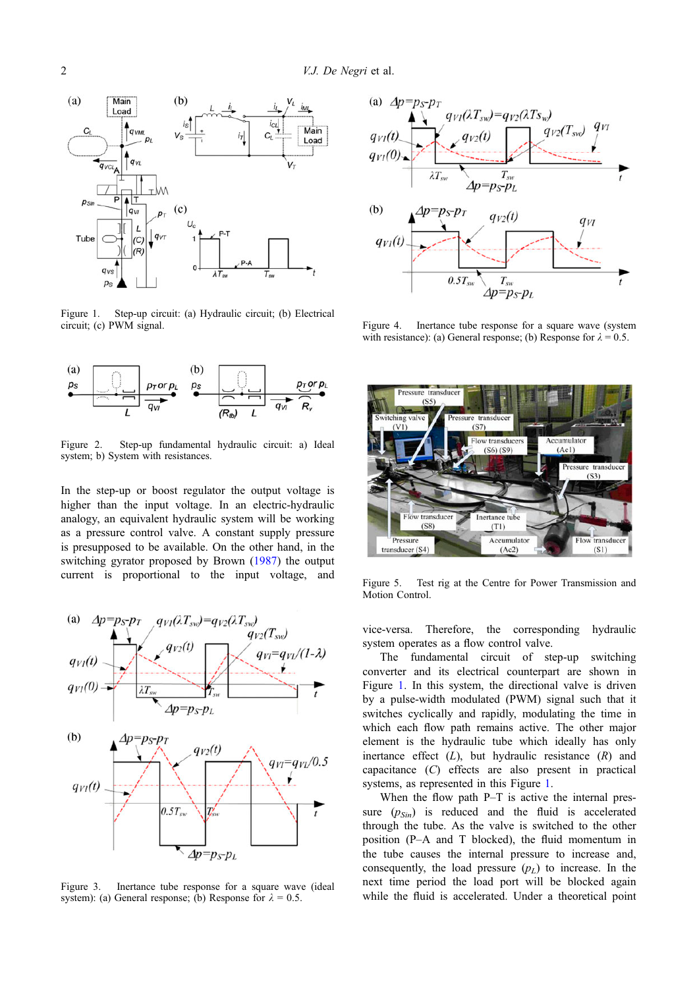<span id="page-1-0"></span>

Figure 1. Step-up circuit: (a) Hydraulic circuit; (b) Electrical circuit; (c) PWM signal.



Figure 2. Step-up fundamental hydraulic circuit: a) Ideal system; b) System with resistances.

In the step-up or boost regulator the output voltage is higher than the input voltage. In an electric-hydraulic analogy, an equivalent hydraulic system will be working as a pressure control valve. A constant supply pressure is presupposed to be available. On the other hand, in the switching gyrator proposed by Brown [\(1987](#page-8-0)) the output current is proportional to the input voltage, and



Figure 3. Inertance tube response for a square wave (ideal system): (a) General response; (b) Response for  $\lambda = 0.5$ .



Figure 4. Inertance tube response for a square wave (system with resistance): (a) General response; (b) Response for  $\lambda = 0.5$ .



Figure 5. Test rig at the Centre for Power Transmission and Motion Control.

vice-versa. Therefore, the corresponding hydraulic system operates as a flow control valve.

The fundamental circuit of step-up switching converter and its electrical counterpart are shown in Figure 1. In this system, the directional valve is driven by a pulse-width modulated (PWM) signal such that it switches cyclically and rapidly, modulating the time in which each flow path remains active. The other major element is the hydraulic tube which ideally has only inertance effect  $(L)$ , but hydraulic resistance  $(R)$  and capacitance (C) effects are also present in practical systems, as represented in this Figure 1.

When the flow path P–T is active the internal pressure  $(p_{Sin})$  is reduced and the fluid is accelerated through the tube. As the valve is switched to the other position (P–A and T blocked), the fluid momentum in the tube causes the internal pressure to increase and, consequently, the load pressure  $(p_L)$  to increase. In the next time period the load port will be blocked again while the fluid is accelerated. Under a theoretical point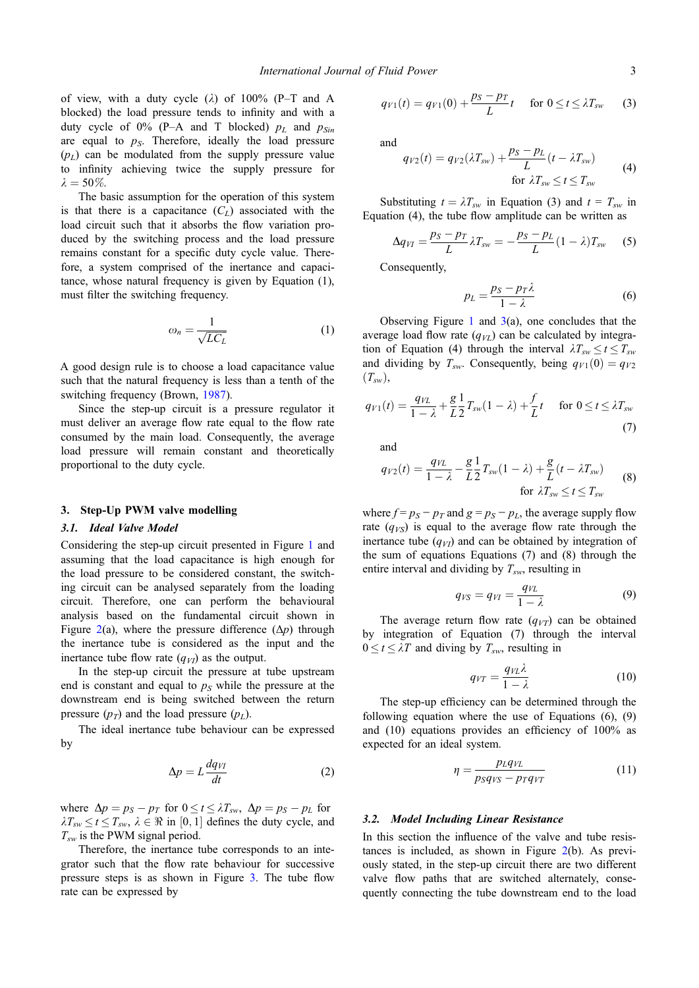<span id="page-2-0"></span>of view, with a duty cycle  $(\lambda)$  of 100% (P–T and A blocked) the load pressure tends to infinity and with a duty cycle of  $0\%$  (P–A and T blocked)  $p_L$  and  $p_{Sin}$ are equal to  $p<sub>S</sub>$ . Therefore, ideally the load pressure  $(p<sub>I</sub>)$  can be modulated from the supply pressure value to infinity achieving twice the supply pressure for  $\lambda = 50\%$ .

The basic assumption for the operation of this system is that there is a capacitance  $(C_L)$  associated with the load circuit such that it absorbs the flow variation produced by the switching process and the load pressure remains constant for a specific duty cycle value. Therefore, a system comprised of the inertance and capacitance, whose natural frequency is given by Equation (1), must filter the switching frequency.

$$
\omega_n = \frac{1}{\sqrt{LC_L}}\tag{1}
$$

A good design rule is to choose a load capacitance value such that the natural frequency is less than a tenth of the switching frequency (Brown, [1987\)](#page-8-0).

Since the step-up circuit is a pressure regulator it must deliver an average flow rate equal to the flow rate consumed by the main load. Consequently, the average load pressure will remain constant and theoretically proportional to the duty cycle.

#### 3. Step-Up PWM valve modelling

#### 3.1. Ideal Valve Model

Considering the step-up circuit presented in Figure [1](#page-1-0) and assuming that the load capacitance is high enough for the load pressure to be considered constant, the switching circuit can be analysed separately from the loading circuit. Therefore, one can perform the behavioural analysis based on the fundamental circuit shown in Figure [2](#page-1-0)(a), where the pressure difference  $(\Delta p)$  through the inertance tube is considered as the input and the inertance tube flow rate  $(q<sub>VI</sub>)$  as the output.

In the step-up circuit the pressure at tube upstream end is constant and equal to  $p<sub>S</sub>$  while the pressure at the downstream end is being switched between the return pressure  $(p_T)$  and the load pressure  $(p_L)$ .

The ideal inertance tube behaviour can be expressed by

$$
\Delta p = L \frac{dq_{VI}}{dt} \tag{2}
$$

where  $\Delta p = p_S - p_T$  for  $0 \le t \le \lambda T_{sw}$ ,  $\Delta p = p_S - p_L$  for  $\lambda T \le t \le T$   $\lambda \in \Re$  in [0, 1] defines the duty cycle and  $\lambda T_{sw} \le t \le T_{sw}$ ,  $\lambda \in \Re$  in [0, 1] defines the duty cycle, and  $T_{sw}$  is the PWM signal period.

Therefore, the inertance tube corresponds to an integrator such that the flow rate behaviour for successive pressure steps is as shown in Figure [3.](#page-1-0) The tube flow rate can be expressed by

$$
q_{V1}(t) = q_{V1}(0) + \frac{p_S - p_T}{L}t \quad \text{for } 0 \le t \le \lambda T_{sw} \quad (3)
$$

and

$$
q_{V2}(t) = q_{V2}(\lambda T_{sw}) + \frac{p_S - p_L}{L}(t - \lambda T_{sw})
$$
  
for  $\lambda T_{sw} \le t \le T_{sw}$  (4)

Substituting  $t = \lambda T_{sw}$  in Equation (3) and  $t = T_{sw}$  in Equation (4), the tube flow amplitude can be written as

$$
\Delta q_{VI} = \frac{p_S - p_T}{L} \lambda T_{sw} = -\frac{p_S - p_L}{L} (1 - \lambda) T_{sw} \tag{5}
$$

Consequently,

$$
p_L = \frac{p_S - p_T \lambda}{1 - \lambda}
$$
 (6)  
Observing Figure 1 and 3(a), one concludes that the

average load flow rate  $(q_{VI})$  can be calculated by integration of Equation (4) through the interval  $\lambda T_{sw} \le t \le T_{sw}$ and dividing by  $T_{sw}$ . Consequently, being  $q_{V1}(0) = q_{V2}$  $(T_{sw}),$ 

$$
q_{V1}(t) = \frac{q_{VL}}{1-\lambda} + \frac{g}{L} \frac{1}{2} T_{sw}(1-\lambda) + \frac{f}{L} t \quad \text{for } 0 \le t \le \lambda T_{sw}
$$
\n
$$
\tag{7}
$$

and

$$
q_{V2}(t) = \frac{q_{VL}}{1 - \lambda} - \frac{g}{L} \frac{1}{2} T_{sw} (1 - \lambda) + \frac{g}{L} (t - \lambda T_{sw})
$$
  
for  $\lambda T_{sw} \le t \le T_{sw}$  (8)

where  $f = p_S - p_T$  and  $g = p_S - p_L$ , the average supply flow rate  $(q_{VS})$  is equal to the average flow rate through the inertance tube  $(q_V)$  and can be obtained by integration of the sum of equations Equations (7) and (8) through the entire interval and dividing by  $T_{sw}$ , resulting in

$$
q_{VS} = q_{VI} = \frac{q_{VL}}{1 - \lambda} \tag{9}
$$

The average return flow rate  $(q_{VT})$  can be obtained by integration of Equation (7) through the interval  $0 \le t \le \lambda T$  and diving by  $T_{sw}$ , resulting in

$$
q_{VT} = \frac{q_{V\perp}\lambda}{1 - \lambda}
$$
 (10)  
The step-up efficiency can be determined through the

following equation where the use of Equations (6), (9) and (10) equations provides an efficiency of 100% as expected for an ideal system.

$$
\eta = \frac{p_L q_{V\!L}}{p_S q_{V\!S} - p_T q_{V\!T}}\tag{11}
$$

#### 3.2. Model Including Linear Resistance

In this section the influence of the valve and tube resistances is included, as shown in Figure [2\(](#page-1-0)b). As previously stated, in the step-up circuit there are two different valve flow paths that are switched alternately, consequently connecting the tube downstream end to the load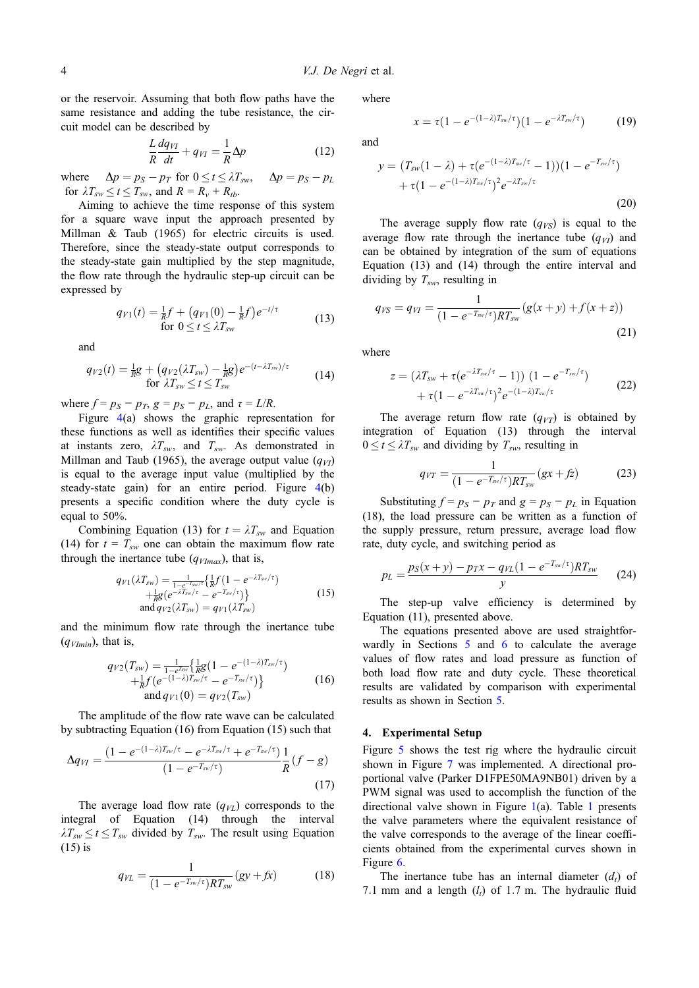<span id="page-3-0"></span>or the reservoir. Assuming that both flow paths have the same resistance and adding the tube resistance, the circuit model can be described by

$$
\frac{L}{R}\frac{dq_{VI}}{dt} + q_{VI} = \frac{1}{R}\Delta p\tag{12}
$$

where  $\Delta p = p_S - p_T$  for  $0 \le t \le \lambda T_{sw}$ ,  $\Delta p = p_S - p_L$ <br>for  $\lambda T \le t \le T$  and  $R = R + R$ . for  $\lambda T_{sw} \le t \le T_{sw}$ , and  $R = R_v + R_{tb}$ .

Aiming to achieve the time response of this system for a square wave input the approach presented by Millman & Taub (1965) for electric circuits is used. Therefore, since the steady-state output corresponds to the steady-state gain multiplied by the step magnitude, the flow rate through the hydraulic step-up circuit can be expressed by

$$
q_{V1}(t) = \frac{1}{R}f + (q_{V1}(0) - \frac{1}{R}f)e^{-t/\tau}
$$
  
for  $0 \le t \le \lambda T_{sw}$  (13)

and

$$
q_{V2}(t) = \frac{1}{R}g + \left(q_{V2}(\lambda T_{sw}) - \frac{1}{R}g\right)e^{-(t-\lambda T_{sw})/\tau}
$$
  
for  $\lambda T_{sw} \le t \le T_{sw}$  (14)

where  $f = p_S - p_T$ ,  $g = p_S - p_L$ , and  $\tau = L/R$ .

Figure [4\(](#page-1-0)a) shows the graphic representation for these functions as well as identifies their specific values at instants zero,  $\lambda T_{sw}$ , and  $T_{sw}$ . As demonstrated in Millman and Taub (1965), the average output value  $(q_V)$ is equal to the average input value (multiplied by the steady-state gain) for an entire period. Figure [4\(](#page-1-0)b) presents a specific condition where the duty cycle is equal to 50%.

Combining Equation (13) for  $t = \lambda T_{sw}$  and Equation (14) for  $t = T_{sw}$  one can obtain the maximum flow rate through the inertance tube  $(q_{VImax})$ , that is,

$$
q_{V1}(\lambda T_{sw}) = \frac{1}{1 - e^{-T_{sw}/\tau}} \left\{ \frac{1}{R} f(1 - e^{-\lambda T_{sw}/\tau}) + \frac{1}{R} g(e^{-\lambda T_{sw}/\tau} - e^{-T_{sw}/\tau}) \right\}
$$
  
and  $q_{V2}(\lambda T_{sw}) = q_{V1}(\lambda T_{sw})$  (15)

and the minimum flow rate through the inertance tube  $(q_{VInin})$ , that is,

$$
q_{V2}(T_{sw}) = \frac{1}{1 - e^{T_{sw}}} \left\{ \frac{1}{R} g \left( 1 - e^{-(1 - \lambda) T_{sw}/\tau} \right) + \frac{1}{R} f \left( e^{-(1 - \lambda) T_{sw}/\tau} - e^{-T_{sw}/\tau} \right) \right\}
$$
\nand 
$$
q_{V1}(0) = q_{V2}(T_{sw})
$$
\n(16)

The amplitude of the flow rate wave can be calculated by subtracting Equation (16) from Equation (15) such that

$$
\Delta q_{VI} = \frac{(1 - e^{-(1 - \lambda)T_{sw}/\tau} - e^{-\lambda T_{sw}/\tau} + e^{-T_{sw}/\tau})}{(1 - e^{-T_{sw}/\tau})} \frac{1}{R} (f - g)
$$
\n(17)

The average load flow rate  $(q_{VL})$  corresponds to the integral of Equation (14) through the interval  $\lambda T_{sw} \le t \le T_{sw}$  divided by  $T_{sw}$ . The result using Equation  $(15)$  is

$$
q_{VL} = \frac{1}{(1 - e^{-T_{sw}/\tau})RT_{sw}} (gy + fx)
$$
 (18)

where

$$
x = \tau (1 - e^{-(1 - \lambda) T_{sw}/\tau}) (1 - e^{-\lambda T_{sw}/\tau}) \tag{19}
$$

and

$$
y = (T_{sw}(1 - \lambda) + \tau(e^{-(1 - \lambda)T_{sw}/\tau} - 1))(1 - e^{-T_{sw}/\tau}) + \tau(1 - e^{-(1 - \lambda)T_{sw}/\tau})^2 e^{-\lambda T_{sw}/\tau}
$$
\n(20)

The average supply flow rate  $(q_{VS})$  is equal to the average flow rate through the inertance tube  $(q_{VI})$  and can be obtained by integration of the sum of equations Equation (13) and (14) through the entire interval and dividing by  $T_{sw}$ , resulting in

$$
q_{VS} = q_{VI} = \frac{1}{(1 - e^{-T_{sw}/\tau})RT_{sw}} (g(x + y) + f(x + z))
$$
\n(21)

where

$$
z = (\lambda T_{sw} + \tau (e^{-\lambda T_{sw}/\tau} - 1)) (1 - e^{-T_{sw}/\tau}) + \tau (1 - e^{-\lambda T_{sw}/\tau})^2 e^{-(1 - \lambda) T_{sw}/\tau}
$$
(22)

The average return flow rate  $(q_{VT})$  is obtained by integration of Equation (13) through the interval  $0 \le t \le \lambda T_{sw}$  and dividing by  $T_{sw}$ , resulting in

$$
q_{VT} = \frac{1}{(1 - e^{-T_{sw}/\tau})RT_{sw}} (gx + fz)
$$
 (23)

Substituting  $f = p_S - p_T$  and  $g = p_S - p_L$  in Equation (18), the load pressure can be written as a function of the supply pressure, return pressure, average load flow rate, duty cycle, and switching period as

$$
p_L = \frac{p_S(x+y) - p_T x - q_{V L} (1 - e^{-T_{sw}/\tau}) R T_{sw}}{y}
$$
 (24)

The step-up valve efficiency is determined by Equation (11), presented above.

The equations presented above are used straightfor-wardly in Sections [5](#page-4-0) and [6](#page-5-0) to calculate the average values of flow rates and load pressure as function of both load flow rate and duty cycle. These theoretical results are validated by comparison with experimental results as shown in Section [5.](#page-4-0)

#### 4. Experimental Setup

Figure [5](#page-1-0) shows the test rig where the hydraulic circuit shown in Figure [7](#page-4-0) was implemented. A directional proportional valve (Parker D1FPE50MA9NB01) driven by a PWM signal was used to accomplish the function of the directional valve shown in Figure [1](#page-1-0)(a). Table [1](#page-4-0) presents the valve parameters where the equivalent resistance of the valve corresponds to the average of the linear coefficients obtained from the experimental curves shown in Figure [6.](#page-4-0)

The inertance tube has an internal diameter  $(d_t)$  of 7.1 mm and a length  $(l_t)$  of 1.7 m. The hydraulic fluid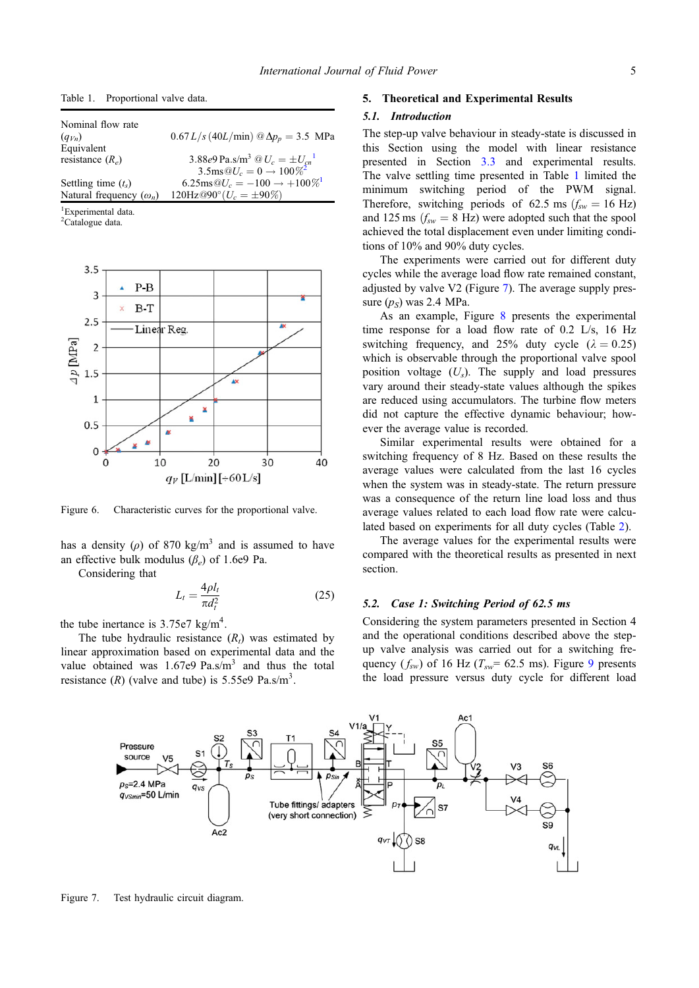| I<br>۰.<br>×<br>۰. |  |
|--------------------|--|

| Nominal flow rate              |                                                                                                 |
|--------------------------------|-------------------------------------------------------------------------------------------------|
| $(q_{V_n})$                    | $0.67 L/s (40L/min) @ \Delta p_p = 3.5 MPa$                                                     |
| Equivalent                     |                                                                                                 |
| resistance $(R_e)$             |                                                                                                 |
|                                | 3.88e9 Pa.s/m <sup>3</sup> @ $U_c = \pm U_{cn}^{-1}$<br>3.5ms @ $U_c = 0 \rightarrow 100\%^{2}$ |
| Settling time $(ts)$           | $6.25 \text{ms} @ U_c = -100 \rightarrow +100\%^1$                                              |
|                                | $120 \text{Hz} @ 90^{\circ} (U_c = \pm 90\%)$                                                   |
| Natural frequency $(\omega_n)$ |                                                                                                 |

<span id="page-4-0"></span>Table 1. Proportional valve data.

1 Experimental data.

<sup>2</sup>Catalogue data.



Figure 6. Characteristic curves for the proportional valve.

has a density ( $\rho$ ) of 870 kg/m<sup>3</sup> and is assumed to have an effective bulk modulus  $(\beta_e)$  of 1.6e9 Pa.

Considering that

$$
L_t = \frac{4\rho l_t}{\pi d_t^2} \tag{25}
$$

the tube inertance is  $3.75e7 \text{ kg/m}^4$ .

The tube hydraulic resistance  $(R_t)$  was estimated by linear approximation based on experimental data and the value obtained was  $1.67e9$  Pa.s/m<sup>3</sup> and thus the total resistance  $(R)$  (valve and tube) is 5.55e9 Pa.s/m<sup>3</sup>.

### 5. Theoretical and Experimental Results

## 5.1. Introduction

The step-up valve behaviour in steady-state is discussed in this Section using the model with linear resistance presented in Section [3.3](#page-2-0) and experimental results. The valve settling time presented in Table 1 limited the minimum switching period of the PWM signal. Therefore, switching periods of 62.5 ms  $(f_{sw} = 16 \text{ Hz})$ and 125 ms  $(f_{sw} = 8 \text{ Hz})$  were adopted such that the spool achieved the total displacement even under limiting conditions of 10% and 90% duty cycles.

The experiments were carried out for different duty cycles while the average load flow rate remained constant, adjusted by valve V2 (Figure 7). The average supply pressure  $(p<sub>S</sub>)$  was 2.4 MPa.

As an example, Figure [8](#page-5-0) presents the experimental time response for a load flow rate of 0.2 L/s, 16 Hz switching frequency, and 25% duty cycle ( $\lambda = 0.25$ ) which is observable through the proportional valve spool position voltage  $(U_s)$ . The supply and load pressures vary around their steady-state values although the spikes are reduced using accumulators. The turbine flow meters did not capture the effective dynamic behaviour; however the average value is recorded.

Similar experimental results were obtained for a switching frequency of 8 Hz. Based on these results the average values were calculated from the last 16 cycles when the system was in steady-state. The return pressure was a consequence of the return line load loss and thus average values related to each load flow rate were calculated based on experiments for all duty cycles (Table [2](#page-5-0)).

The average values for the experimental results were compared with the theoretical results as presented in next section.

#### 5.2. Case 1: Switching Period of 62.5 ms

Considering the system parameters presented in Section 4 and the operational conditions described above the stepup valve analysis was carried out for a switching frequency  $(f_{sw})$  of 16 Hz  $(T_{sw}= 62.5 \text{ ms})$ . Figure [9](#page-5-0) presents the load pressure versus duty cycle for different load



Figure 7. Test hydraulic circuit diagram.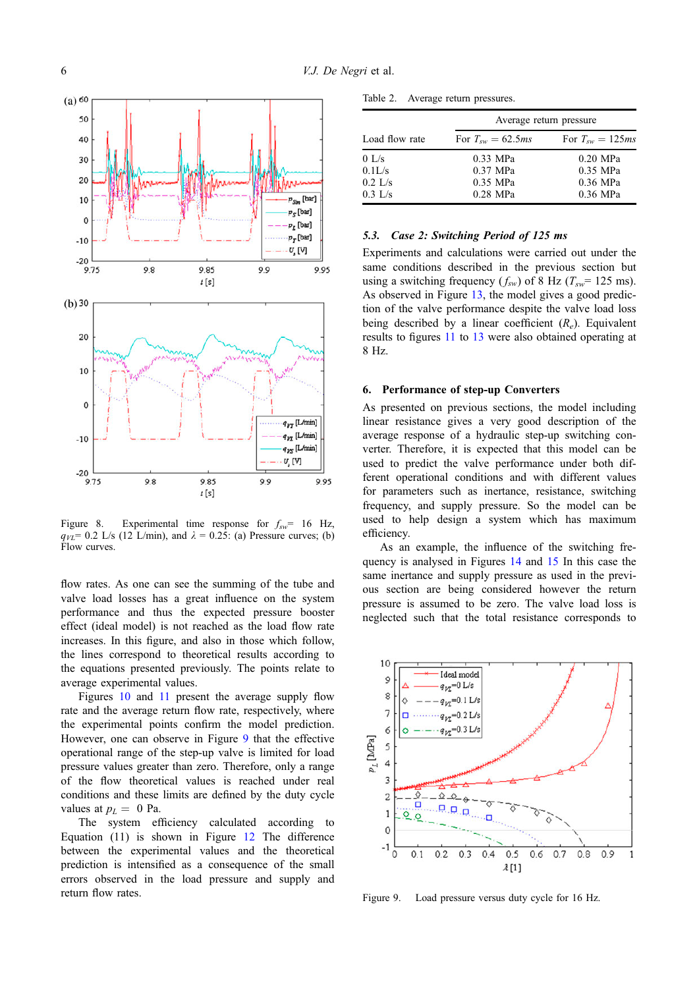<span id="page-5-0"></span>

Figure 8. Experimental time response for  $f_{sw}$ = 16 Hz,  $q_{V\overline{L}}$  = 0.2 L/s (12 L/min), and  $\lambda$  = 0.25: (a) Pressure curves; (b) Flow curves.

flow rates. As one can see the summing of the tube and valve load losses has a great influence on the system performance and thus the expected pressure booster effect (ideal model) is not reached as the load flow rate increases. In this figure, and also in those which follow, the lines correspond to theoretical results according to the equations presented previously. The points relate to average experimental values.

Figures [10](#page-6-0) and [11](#page-6-0) present the average supply flow rate and the average return flow rate, respectively, where the experimental points confirm the model prediction. However, one can observe in Figure 9 that the effective operational range of the step-up valve is limited for load pressure values greater than zero. Therefore, only a range of the flow theoretical values is reached under real conditions and these limits are defined by the duty cycle values at  $p_L = 0$  Pa.

The system efficiency calculated according to Equation (11) is shown in Figure [12](#page-6-0) The difference between the experimental values and the theoretical prediction is intensified as a consequence of the small errors observed in the load pressure and supply and return flow rates.

Table 2. Average return pressures.

|                |                        | Average return pressure |  |  |  |
|----------------|------------------------|-------------------------|--|--|--|
| Load flow rate | For $T_{sw} = 62.5$ ms | For $T_{sw} = 125$ ms   |  |  |  |
| 0 L/s          | $0.33$ MPa             | $0.20$ MPa              |  |  |  |
| 0.1L/s         | $0.37$ MPa             | $0.35$ MPa              |  |  |  |
| $0.2$ L/s      | $0.35$ MPa             | 0.36 MPa                |  |  |  |
| $0.3$ L/s      | $0.28$ MPa             | 0.36 MPa                |  |  |  |

#### 5.3. Case 2: Switching Period of 125 ms

Experiments and calculations were carried out under the same conditions described in the previous section but using a switching frequency  $(f_{sw})$  of 8 Hz  $(T_{sw}= 125 \text{ ms})$ . As observed in Figure [13](#page-6-0), the model gives a good prediction of the valve performance despite the valve load loss being described by a linear coefficient  $(R_e)$ . Equivalent results to figures [11](#page-6-0) to [13](#page-6-0) were also obtained operating at 8 Hz.

## 6. Performance of step-up Converters

As presented on previous sections, the model including linear resistance gives a very good description of the average response of a hydraulic step-up switching converter. Therefore, it is expected that this model can be used to predict the valve performance under both different operational conditions and with different values for parameters such as inertance, resistance, switching frequency, and supply pressure. So the model can be used to help design a system which has maximum efficiency.

As an example, the influence of the switching frequency is analysed in Figures [14](#page-6-0) and [15](#page-7-0) In this case the same inertance and supply pressure as used in the previous section are being considered however the return pressure is assumed to be zero. The valve load loss is neglected such that the total resistance corresponds to



Figure 9. Load pressure versus duty cycle for 16 Hz.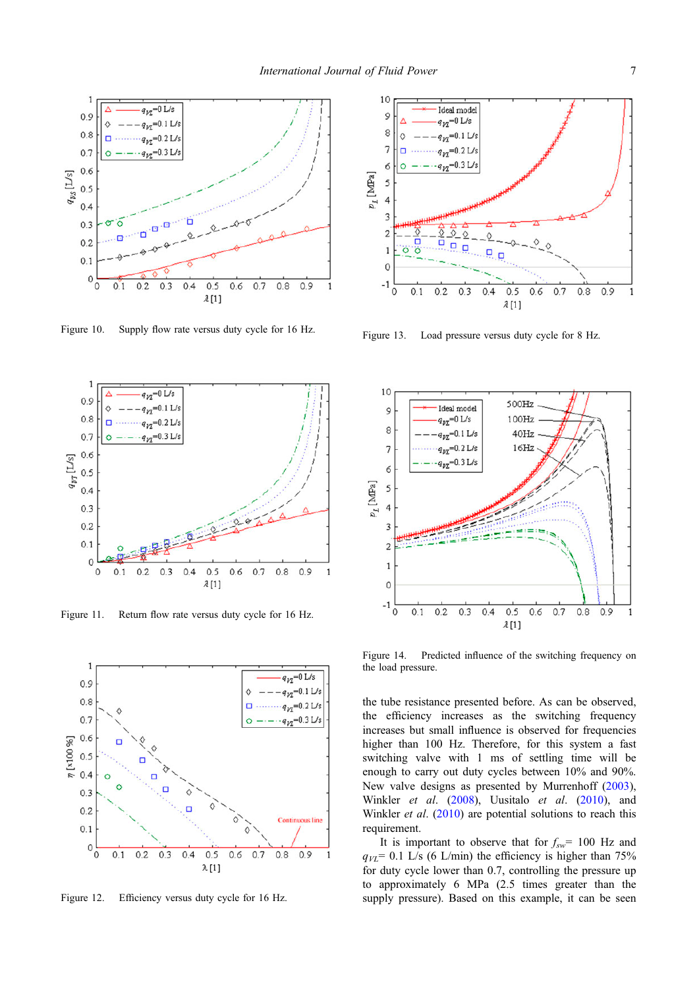<span id="page-6-0"></span>

Figure 10. Supply flow rate versus duty cycle for 16 Hz. Figure 13. Load pressure versus duty cycle for 8 Hz.



Figure 11. Return flow rate versus duty cycle for 16 Hz.



Figure 12. Efficiency versus duty cycle for 16 Hz.





Figure 14. Predicted influence of the switching frequency on the load pressure.

the tube resistance presented before. As can be observed, the efficiency increases as the switching frequency increases but small influence is observed for frequencies higher than 100 Hz. Therefore, for this system a fast switching valve with 1 ms of settling time will be enough to carry out duty cycles between 10% and 90%. New valve designs as presented by Murrenhoff [\(2003](#page-8-0)), Winkler et al. [\(2008](#page-8-0)), Uusitalo et al. [\(2010](#page-8-0)), and Winkler et al. [\(2010](#page-8-0)) are potential solutions to reach this requirement.

It is important to observe that for  $f_{sw}= 100$  Hz and  $q_{VZ}$ = 0.1 L/s (6 L/min) the efficiency is higher than 75% for duty cycle lower than 0.7, controlling the pressure up to approximately 6 MPa (2.5 times greater than the supply pressure). Based on this example, it can be seen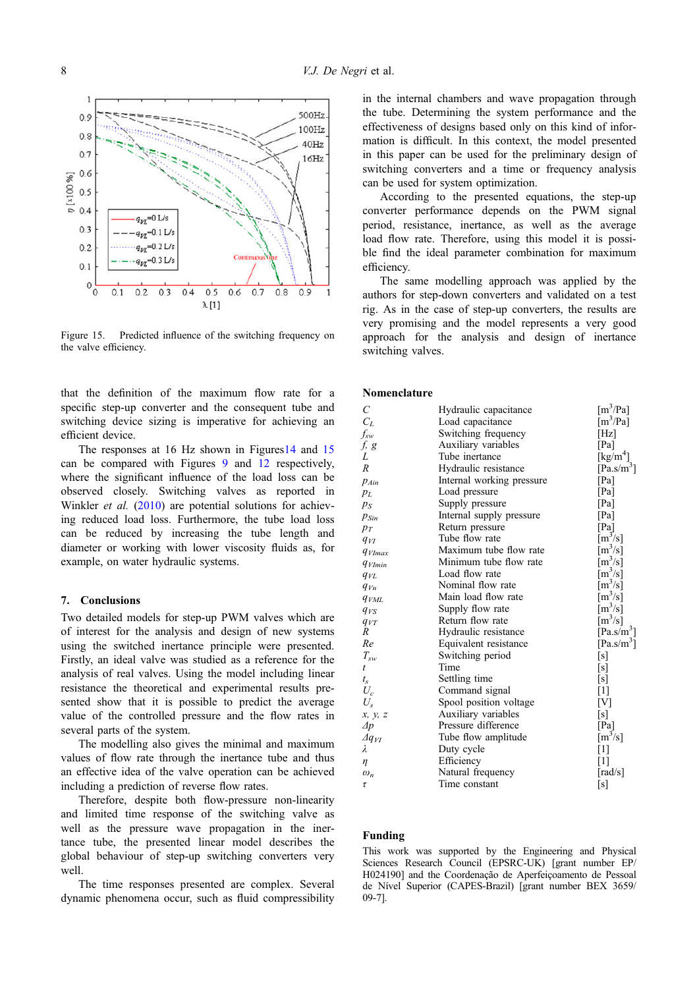<span id="page-7-0"></span>

Figure 15. Predicted influence of the switching frequency on the valve efficiency.

that the definition of the maximum flow rate for a specific step-up converter and the consequent tube and switching device sizing is imperative for achieving an efficient device.

The responses at 16 Hz shown in Figures<sup>14</sup> and 15 can be compared with Figures [9](#page-5-0) and [12](#page-6-0) respectively, where the significant influence of the load loss can be observed closely. Switching valves as reported in Winkler *et al.* [\(2010](#page-8-0)) are potential solutions for achieving reduced load loss. Furthermore, the tube load loss can be reduced by increasing the tube length and diameter or working with lower viscosity fluids as, for example, on water hydraulic systems.

## 7. Conclusions

Two detailed models for step-up PWM valves which are of interest for the analysis and design of new systems using the switched inertance principle were presented. Firstly, an ideal valve was studied as a reference for the analysis of real valves. Using the model including linear resistance the theoretical and experimental results presented show that it is possible to predict the average value of the controlled pressure and the flow rates in several parts of the system.

The modelling also gives the minimal and maximum values of flow rate through the inertance tube and thus an effective idea of the valve operation can be achieved including a prediction of reverse flow rates.

Therefore, despite both flow-pressure non-linearity and limited time response of the switching valve as well as the pressure wave propagation in the inertance tube, the presented linear model describes the global behaviour of step-up switching converters very well.

The time responses presented are complex. Several dynamic phenomena occur, such as fluid compressibility

in the internal chambers and wave propagation through the tube. Determining the system performance and the effectiveness of designs based only on this kind of information is difficult. In this context, the model presented in this paper can be used for the preliminary design of switching converters and a time or frequency analysis can be used for system optimization.

According to the presented equations, the step-up converter performance depends on the PWM signal period, resistance, inertance, as well as the average load flow rate. Therefore, using this model it is possible find the ideal parameter combination for maximum efficiency.

The same modelling approach was applied by the authors for step-down converters and validated on a test rig. As in the case of step-up converters, the results are very promising and the model represents a very good approach for the analysis and design of inertance switching valves.

## Nomenclature

| $\,C$                           | Hydraulic capacitance     | $\left[\text{m}^3/\text{Pa}\right]$    |
|---------------------------------|---------------------------|----------------------------------------|
| $C_L$                           | Load capacitance          | $\left[\text{m}^3/\text{Pa}\right]$    |
| $f_{sw}$                        | Switching frequency       | [Hz]                                   |
| $\overline{f}$ , $\overline{g}$ | Auxiliary variables       | [Pa]                                   |
| L                               | Tube inertance            | $\left[\mathrm{kg/m}^4\right]$         |
| $\overline{R}$                  | Hydraulic resistance      | [Pa.s/m <sup>3</sup> ]                 |
| $p_{Ain}$                       | Internal working pressure | [Pa]                                   |
| $p_L$                           | Load pressure             | [Pa]                                   |
| $p_S$                           | Supply pressure           | [Pa]                                   |
| $p_{Sin}$                       | Internal supply pressure  | [Pa]                                   |
| $p_T$                           | Return pressure           | [Pa]                                   |
| $q_{VI}$                        | Tube flow rate            | $\left[\mathrm{m}^3/\mathrm{s}\right]$ |
| $q_{VImax}$                     | Maximum tube flow rate    | $\left[\text{m}^3/\text{s}\right]$     |
| $q_{V lmin}$                    | Minimum tube flow rate    | $\left[\mathrm{m}^3/\mathrm{s}\right]$ |
| $q_{VL}$                        | Load flow rate            | $\left[\text{m}^3/\text{s}\right]$     |
| $q_{Vn}$                        | Nominal flow rate         | $\left[\mathrm{m}^3/\mathrm{s}\right]$ |
| $q_{VML}$                       | Main load flow rate       | $\left[\mathrm{m}^3/\mathrm{s}\right]$ |
| $q_{VS}$                        | Supply flow rate          | $\left[\mathrm{m}^3/\mathrm{s}\right]$ |
| $q_{VT}$                        | Return flow rate          | $\left[\text{m}^3/\text{s}\right]$     |
| R                               | Hydraulic resistance      | [Pa.s/m <sup>3</sup> ]                 |
| Re                              | Equivalent resistance     | $[Pa.s/m^3]$                           |
| $T_{sw}$                        | Switching period          | [s]                                    |
| $\boldsymbol{t}$                | Time                      | [s]                                    |
| $t_{\rm s}$                     | Settling time             | [s]                                    |
| $U_c$                           | Command signal            | $[1]$                                  |
| $U_{\rm s}$                     | Spool position voltage    | [V]                                    |
| x, y, z                         | Auxiliary variables       | [s]                                    |
| Δp                              | Pressure difference       | [Pa]                                   |
| $\varDelta q_{VI}$              | Tube flow amplitude       | $\left[\text{m}^3/\text{s}\right]$     |
| λ                               | Duty cycle                | $\lceil 1 \rceil$                      |
| $\eta$                          | Efficiency                | $\lceil 1 \rceil$                      |
| $\omega_n$                      | Natural frequency         | $\lceil \text{rad/s} \rceil$           |
| τ                               | Time constant             | [s]                                    |

### Funding

This work was supported by the Engineering and Physical Sciences Research Council (EPSRC-UK) [grant number EP/ H024190] and the Coordenação de Aperfeiçoamento de Pessoal de Nível Superior (CAPES-Brazil) [grant number BEX 3659/ 09-7].